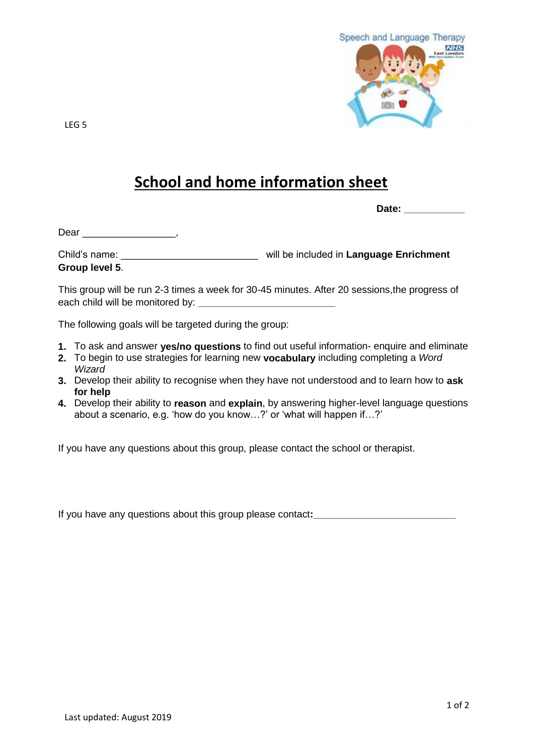

LEG 5

## **School and home information sheet**

**Date: \_\_\_\_\_\_\_\_\_\_\_**

Dear \_\_\_\_\_\_\_\_\_\_\_\_\_\_\_\_\_\_\_\_\_,

Child's name: \_\_\_\_\_\_\_\_\_\_\_\_\_\_\_\_\_\_\_\_\_\_\_\_\_ will be included in **Language Enrichment Group level 5**.

This group will be run 2-3 times a week for 30-45 minutes. After 20 sessions,the progress of each child will be monitored by: **\_\_\_\_\_\_\_\_\_\_\_\_\_\_\_\_\_\_\_\_\_\_\_\_\_**

The following goals will be targeted during the group:

- **1.** To ask and answer **yes/no questions** to find out useful information- enquire and eliminate
- **2.** To begin to use strategies for learning new **vocabulary** including completing a *Word Wizard*
- **3.** Develop their ability to recognise when they have not understood and to learn how to **ask for help**
- **4.** Develop their ability to **reason** and **explain**, by answering higher-level language questions about a scenario, e.g. 'how do you know…?' or 'what will happen if…?'

If you have any questions about this group, please contact the school or therapist.

If you have any questions about this group please contact**:\_\_\_\_\_\_\_\_\_\_\_\_\_\_\_\_\_\_\_\_\_\_\_\_\_\_**